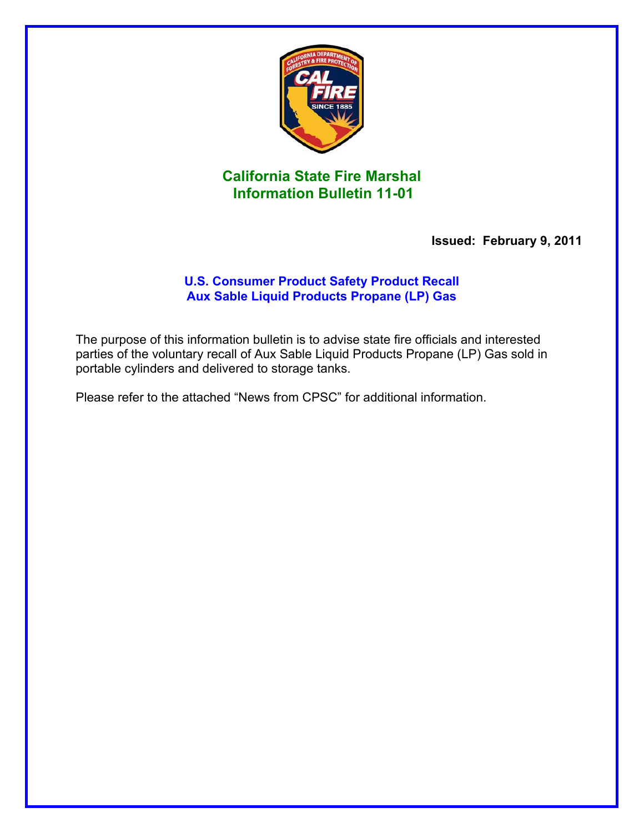

## **California State Fire Marshal Information Bulletin 11-01**

 **Issued: February 9, 2011** 

## **U.S. Consumer Product Safety Product Recall Aux Sable Liquid Products Propane (LP) Gas**

The purpose of this information bulletin is to advise state fire officials and interested parties of the voluntary recall of Aux Sable Liquid Products Propane (LP) Gas sold in portable cylinders and delivered to storage tanks.

Please refer to the attached "News from CPSC" for additional information.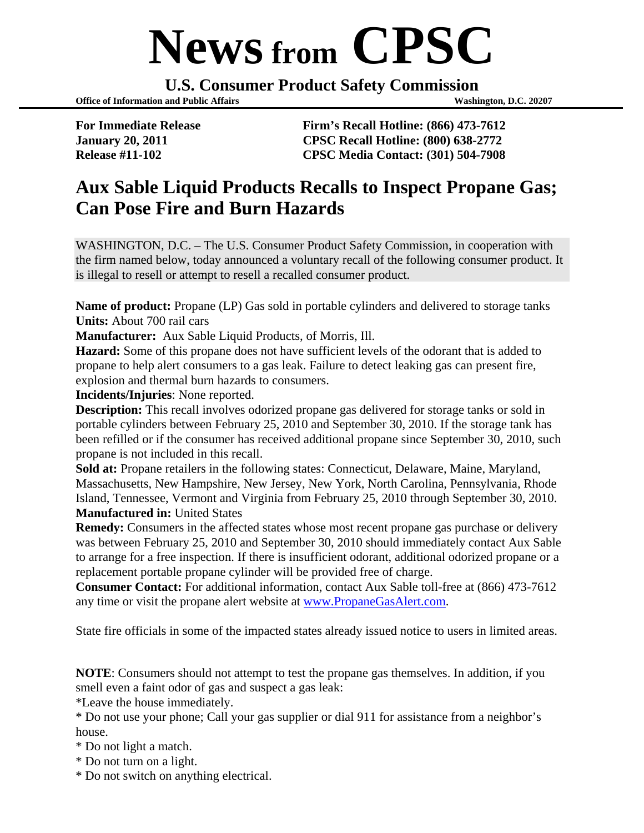## **News from CPSC**

**U.S. Consumer Product Safety Commission** 

**Office of Information and Public Affairs Washington, D.C. 20207** 

**For Immediate Release Firm's Recall Hotline: (866) 473-7612 January 20, 2011 CPSC Recall Hotline: (800) 638-2772 Release #11-102 CPSC Media Contact: (301) 504-7908** 

## **Aux Sable Liquid Products Recalls to Inspect Propane Gas; Can Pose Fire and Burn Hazards**

WASHINGTON, D.C. – The U.S. Consumer Product Safety Commission, in cooperation with the firm named below, today announced a voluntary recall of the following consumer product. It is illegal to resell or attempt to resell a recalled consumer product.

**Name of product:** Propane (LP) Gas sold in portable cylinders and delivered to storage tanks **Units:** About 700 rail cars

**Manufacturer:** Aux Sable Liquid Products, of Morris, Ill.

**Hazard:** Some of this propane does not have sufficient levels of the odorant that is added to propane to help alert consumers to a gas leak. Failure to detect leaking gas can present fire, explosion and thermal burn hazards to consumers.

**Incidents/Injuries**: None reported.

**Description:** This recall involves odorized propane gas delivered for storage tanks or sold in portable cylinders between February 25, 2010 and September 30, 2010. If the storage tank has been refilled or if the consumer has received additional propane since September 30, 2010, such propane is not included in this recall.

**Sold at:** Propane retailers in the following states: Connecticut, Delaware, Maine, Maryland, Massachusetts, New Hampshire, New Jersey, New York, North Carolina, Pennsylvania, Rhode Island, Tennessee, Vermont and Virginia from February 25, 2010 through September 30, 2010. **Manufactured in: United States** 

**Remedy:** Consumers in the affected states whose most recent propane gas purchase or delivery was between February 25, 2010 and September 30, 2010 should immediately contact Aux Sable to arrange for a free inspection. If there is insufficient odorant, additional odorized propane or a replacement portable propane cylinder will be provided free of charge.

**Consumer Contact:** For additional information, contact Aux Sable toll-free at (866) 473-7612 any time or visit the propane alert website at [www.PropaneGasAlert.com.](http://www.propanegasalert.com/)

State fire officials in some of the impacted states already issued notice to users in limited areas.

**NOTE**: Consumers should not attempt to test the propane gas themselves. In addition, if you smell even a faint odor of gas and suspect a gas leak:

\*Leave the house immediately.

\* Do not use your phone; Call your gas supplier or dial 911 for assistance from a neighbor's house.

\* Do not light a match.

- \* Do not turn on a light.
- \* Do not switch on anything electrical.